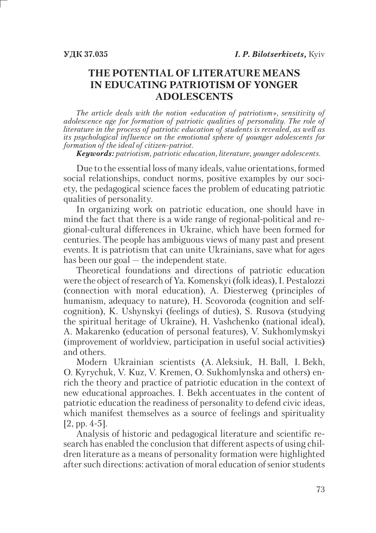# **THE POTENTIAL OF LITERATURE MEANS IN EDUCATING PATRIOTISM OF YONGER ADOLESCENTS**

*The article deals with the notion «education of patriotism», sensitivity of adolescence age for formation of patriotic qualities of personality. The role of literature in the process of patriotic education of students is revealed, as well as its psychological influence on the emotional sphere of younger adolescents for formation of the ideal of citizen-patriot.*

*Keywords: patriotism, patriotic education, literature, younger adolescents.*

Due to the essential loss of many ideals, value orientations, formed social relationships, conduct norms, positive examples by our society, the pedagogical science faces the problem of educating patriotic qualities of personality.

In organizing work on patriotic education, one should have in mind the fact that there is a wide range of regional-political and regional-cultural differences in Ukraine, which have been formed for centuries. The people has ambiguous views of many past and present events. It is patriotism that can unite Ukrainians, save what for ages has been our goal — the independent state.

Theoretical foundations and directions of patriotic education were the object of research of Ya. Komenskyi (folk ideas), I. Pestalozzi (connection with moral education), A. Diesterweg (principles of humanism, adequacy to nature), H. Scovoroda (cognition and selfcognition), K. Ushynskyi (feelings of duties), S. Rusova (studying the spiritual heritage of Ukraine), H. Vashchenko (national ideal), A. Makarenko (education of personal features), V. Sukhomlymskyi (improvement of worldview, participation in useful social activities) and others.

Modern Ukrainian scientists (A. Aleksiuk, H. Ball, I. Bekh, O. Kyrychuk, V. Kuz, V. Kremen, O. Sukhomlynska and others) enrich the theory and practice of patriotic education in the context of new educational approaches. І. Bekh accentuates in the content of patriotic education the readiness of personality to defend civic ideas, which manifest themselves as a source of feelings and spirituality [2, pp. 4-5].

Analysis of historic and pedagogical literature and scientific research has enabled the conclusion that different aspects of using children literature as a means of personality formation were highlighted after such directions: activation of moral education of senior students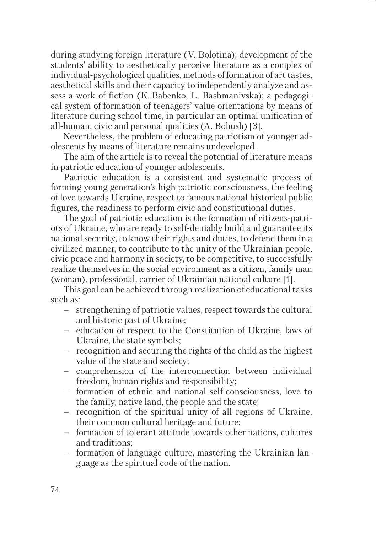during studying foreign literature (V. Bolotina); development of the students' ability to aesthetically perceive literature as a complex of individual-psychological qualities, methods of formation of art tastes, aesthetical skills and their capacity to independently analyze and assess a work of fiction (К. Babenko, L. Bashmanivska); a pedagogical system of formation of teenagers' value orientations by means of literature during school time, in particular an optimal unification of all-human, civic and personal qualities (A. Bohush) [3].

Nevertheless, the problem of educating patriotism of younger adolescents by means of literature remains undeveloped.

The aim of the article is to reveal the potential of literature means in patriotic education of younger adolescents.

Patriotic education is a consistent and systematic process of forming young generation's high patriotic consciousness, the feeling of love towards Ukraine, respect to famous national historical public figures, the readiness to perform civic and constitutional duties.

The goal of patriotic education is the formation of citizens-patriots of Ukraine, who are ready to self-deniably build and guarantee its national security, to know their rights and duties, to defend them in a civilized manner, to contribute to the unity of the Ukrainian people, civic peace and harmony in society, to be competitive, to successfully realize themselves in the social environment as a citizen, family man (woman), professional, carrier of Ukrainian national culture [1].

This goal can be achieved through realization of educational tasks such as:

- strengthening of patriotic values, respect towards the cultural and historic past of Ukraine; –
- education of respect to the Constitution of Ukraine, laws of Ukraine, the state symbols;
- recognition and securing the rights of the child as the highest value of the state and society;
- comprehension of the interconnection between individual freedom, human rights and responsibility;
- formation of ethnic and national self-consciousness, love to the family, native land, the people and the state;
- recognition of the spiritual unity of all regions of Ukraine, their common cultural heritage and future;
- formation of tolerant attitude towards other nations, cultures and traditions;
- formation of language culture, mastering the Ukrainian language as the spiritual code of the nation.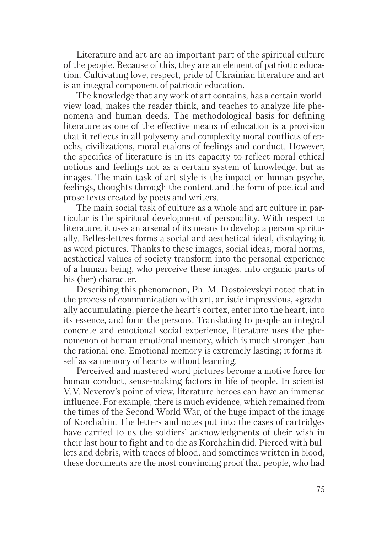Literature and art are an important part of the spiritual culture of the people. Because of this, they are an element of patriotic education. Cultivating love, respect, pride of Ukrainian literature and art is an integral component of patriotic education.

The knowledge that any work of art contains, has a certain worldview load, makes the reader think, and teaches to analyze life phenomena and human deeds. The methodological basis for defining literature as one of the effective means of education is a provision that it reflects in all polysemy and complexity moral conflicts of epochs, civilizations, moral etalons of feelings and conduct. However, the specifics of literature is in its capacity to reflect moral-ethical notions and feelings not as a certain system of knowledge, but as images. The main task of art style is the impact on human psyche, feelings, thoughts through the content and the form of poetical and prose texts created by poets and writers.

The main social task of culture as a whole and art culture in particular is the spiritual development of personality. With respect to literature, it uses an arsenal of its means to develop a person spiritually. Belles-lettres forms a social and aesthetical ideal, displaying it as word pictures. Thanks to these images, social ideas, moral norms, aesthetical values of society transform into the personal experience of a human being, who perceive these images, into organic parts of his (her) character.

Describing this phenomenon, Ph. M. Dostoievskyi noted that in the process of communication with art, artistic impressions, «gradually accumulating, pierce the heart's cortex, enter into the heart, into its essence, and form the person». Translating to people an integral concrete and emotional social experience, literature uses the phenomenon of human emotional memory, which is much stronger than the rational one. Emotional memory is extremely lasting; іt forms itself as «a memory of heart» without learning.

Perceived and mastered word pictures become a motive force for human conduct, sense-making factors in life of people. In scientist V. V. Neverov's point of view, literature heroes can have an immense influence. For example, there is much evidence, which remained from the times of the Second World War, of the huge impact of the image of Korchahin. The letters and notes put into the cases of cartridges have carried to us the soldiers' aсknowledgments of their wish in their last hour to fight and to die as Korchahin did. Pierced with bullets and debris, with traces of blood, and sometimes written in blood, these documents are the most convincing proof that people, who had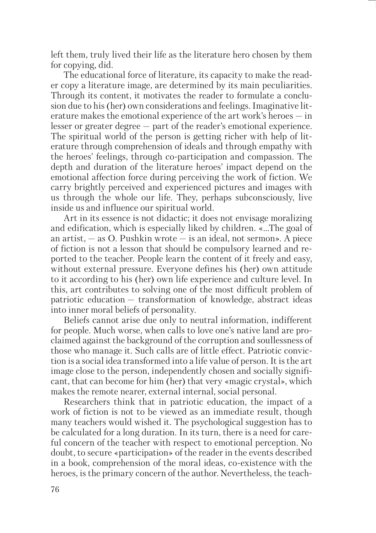left them, truly lived their life as the literature hero chosen by them for copying, did.

The educational force of literature, its capacity to make the reader copy a literature image, are determined by its main peculiarities. Through its content, it motivates the reader to formulate a conclusion due to his (her) own considerations and feelings. Imaginative literature makes the emotional experience of the art work's heroes — in lesser or greater degree — part of the reader's emotional experience. The spiritual world of the person is getting richer with help of literature through comprehension of ideals and through empathy with the heroes' feelings, through co-participation and compassion. The depth and duration of the literature heroes' impact depend on the emotional affection force during perceiving the work of fiction. We carry brightly perceived and experienced pictures and images with us through the whole our life. They, perhaps subconsciously, live inside us and influence our spiritual world.

Art in its essence is not didactic; it does not envisage moralizing and edification, which is especially liked by children. «…The goal of an artist,  $-$  as O. Pushkin wrote  $-$  is an ideal, not sermon». A piece of fiction is not a lesson that should be compulsory learned and reported to the teacher. People learn the content of it freely and easy, without external pressure. Everyone defines his (her) own attitude to it according to his (her) own life experience and culture level. In this, art contributes to solving one of the most difficult problem of patriotic education — transformation of knowledge, abstract ideas into inner moral beliefs of personality.

Beliefs cannot arise due only to neutral information, indifferent for people. Much worse, when calls to love one's native land are proclaimed against the background of the corruption and soullessness of those who manage it. Such calls are of little effect. Patriotic conviction is a social idea transformed into a life value of person. It is the art image close to the person, independently chosen and socially significant, that can become for him (her) that very «magic crystal», which makes the remote nearer, external internal, social personal.

Researchers think that in patriotic education, the impact of a work of fiction is not to be viewed as an immediate result, though many teachers would wished it. The psychological suggestion has to be calculated for a long duration. In its turn, there is a need for careful concern of the teacher with respect to emotional perception. No doubt, to secure «participation» of the reader in the events described in a book, comprehension of the moral ideas, co-existence with the heroes, is the primary concern of the author. Nevertheless, the teach-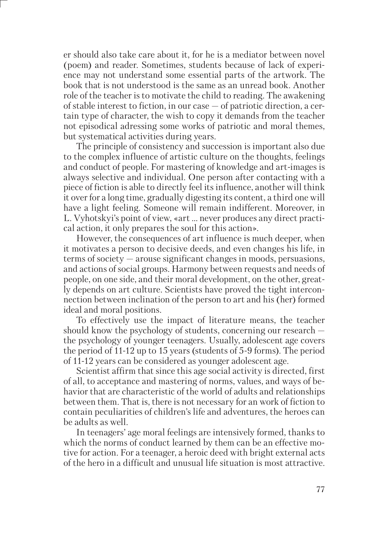er should also take care about it, for he is a mediator between novel (poem) and reader. Sometimes, students because of lack of experience may not understand some essential parts of the artwork. The book that is not understood is the same as an unread book. Another role of the teacher is to motivate the child to reading. The awakening of stable interest to fiction, in our case — of patriotic direction, a certain type of character, the wish to copy it demands from the teacher not episodical adressing some works of patriotic and moral themes, but systematical activities during years.

The principle of consistency and succession is important also due to the complex influence of artistic culture on the thoughts, feelings and conduct of people. For mastering of knowledge and art-images is always selective and individual. One person after contacting with a piece of fiction is able to directly feel its influence, another will think it over for a long time, gradually digesting its content, a third one will have a light feeling. Someone will remain indifferent. Moreover, in L. Vyhotskyi's point of view, «art … never produces any direct practical action, it only prepares the soul for this action».

However, the consequences of art influence is much deeper, when it motivates a person to decisive deeds, and even changes his life, in terms of society — arouse significant changes in moods, persuasions, and actions of social groups. Harmony between requests and needs of people, on one side, and their moral development, on the other, greatly depends on art culture. Scientists have proved the tight interconnection between inclination of the person to art and his (her) formed ideal and moral positions.

To effectively use the impact of literature means, the teacher should know the psychology of students, concerning our research the psychology of younger teenagers. Usually, adolescent age covers the period of 11-12 up to 15 years (students of 5-9 forms). The period of 11-12 years can be considered as younger adolescent age.

Scientist affirm that since this age social activity is directed, first of all, to acceptance and mastering of norms, values, and ways of behavior that are characteristic of the world of adults and relationships between them. That is, there is not necessary for an work of fiction to contain peculiarities of children's life and adventures, the heroes can be adults as well.

In teenagers' age moral feelings are intensively formed, thanks to which the norms of conduct learned by them can be an effective motive for action. For a teenager, a heroic deed with bright external acts of the hero in a difficult and unusual life situation is most attractive.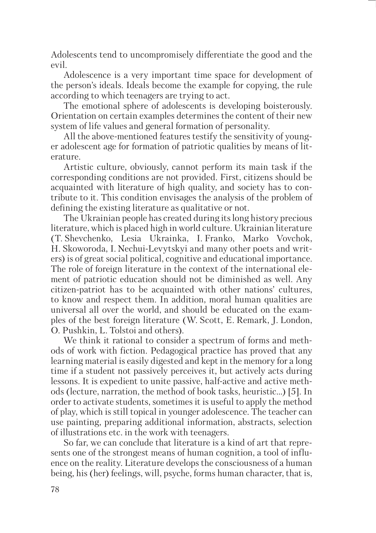Adolescents tend to uncompromisely differentiate the good and the evil.

Adolescence is a very important time space for development of the person's ideals. Ideals become the example for copying, the rule according to which teenagers are trying to act.

The emotional sphere of adolescents is developing boisterously. Orientation on certain examples determines the content of their new system of life values and general formation of personality.

All the above-mentioned features testify the sensitivity of younger adolescent age for formation of patriotic qualities by means of literature.

Artistic culture, obviously, cannot perform its main task if the corresponding conditions are not provided. First, citizens should be acquainted with literature of high quality, and society has to contribute to it. This condition envisages the analysis of the problem of defining the existing literature as qualitative or not.

The Ukrainian people has created during its long history precious literature, which is placed high in world culture. Ukrainian literature (T. Shevchenko, Lesia Ukrainka, I. Franko, Marko Vovchok, H. Skoworoda, I. Nechui-Levytskyi and many other poets and writers) is of great social political, cognitive and educational importance. The role of foreign literature in the context of the international element of patriotic education should not be diminished as well. Any citizen-patriot has to be acquainted with other nations' cultures, to know and respect them. In addition, moral human qualities are universal all over the world, and should be educated on the examples of the best foreign literature (W. Scott, E. Remark, J. London, O. Pushkin, L. Tolstoi and others).

We think it rational to consider a spectrum of forms and methods of work with fiction. Pedagogical practice has proved that any learning material is easily digested and kept in the memory for a long time if a student not passively perceives it, but actively acts during lessons. It is expedient to unite passive, half-active and active methods (lecture, narration, the method of book tasks, heuristic…) [5]. In order to activate students, sometimes it is useful to apply the method of play, which is still topical in younger adolescence. The teacher can use painting, preparing additional information, abstracts, selection of illustrations etc. in the work with teenagers.

So far, we can conclude that literature is a kind of art that represents one of the strongest means of human cognition, a tool of influence on the reality. Literature develops the consciousness of a human being, his (her) feelings, will, psyche, forms human character, that is,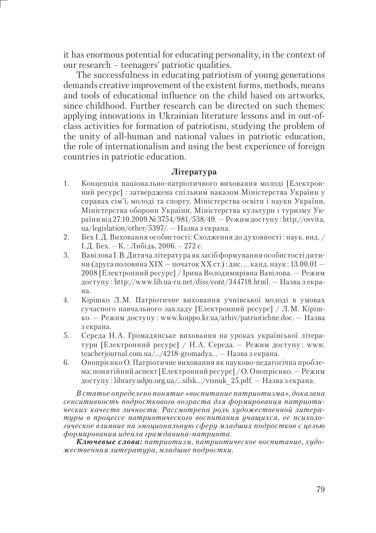it has enormous potential for educating personality, in the context of our research – teenagers' patriotic qualities.

The successfulness in educating patriotism of young generations demands creative improvement of the existent forms, methods, means and tools of educational influence on the child based on artworks since childhood. Further research can be directed on such themes: applying innovations in Ukrainian literature lessons and in out-ofclass activities for formation of patriotism, studying the problem of the unity of all-human and national values in patriotic education, the role of internationalism and using the best experience of foreign countries in patriotic education.

### **Література**

- 1. Концепція національно-патріотичного виховання молоді [Електронний ресурс] : затверджена спільним наказом Міністерства України у справах сім'ї, молоді та спорту, Міністерства освіти і науки України, Міністерства оборони України, Міністерства культури і туризму України від 27.10.2009 № 3754/981/538/49. — Режим доступу : http://osvita. ua/legislation/other/5397/. — Назва з екрана.
- 2. Бех І. Д. Виховання особистості: Сходження до духовності : наук. вид. / І. Д. Бех. – К. : Либідь, 2006. – 272 с.
- 3. Вавілова І. В. Дитяча література як засіб формування особистості дитини (друга половина XIX — початок XX ст.): дис. ... канд. наук:  $13.00.01 -$ 2008 [Електронний ресурс] / Ірина Володимирівна Вавілова. — Режим доступу : http://www.lib.ua-ru.net/diss/cont/344718.html. — Назва з екрана.
- 4. Кірішко Л. М. Патріотичне виховання учнівської молоді в умовах сучасного навчального закладу [Електронний ресурс] / Л. М. Кірішко. — Режим доступу : www.koippo.kr.ua/arhiv/patriotichne.doc. — Назва з екрана.
- 5. Середа Н. А. Громадянське виховання на уроках української літератури [Електронний ресурс] / Н. А. Середа. — Режим доступу : www. teacherjournal.com.ua/.../4218-gromadya... — Назва з екрана.
- 6. Онопрієнко О. Патріотичне виховання як науково-педагогічна проблема: понятійний аспект [Електронний ресурс] / О. Онопрієнко. — Режим доступу : library.udpu.org.ua/...silsk.../visnuk\_25.pdf. — Назва з екрана.

*В статье определено понятие «воспитание патриотизма», доказана сенситивность подросткового возраста для формирования патриотических качеств личности. Рассмотрена роль художественной литературы в процессе патриотического воспитания учащихся, ее психологическое влияние на эмоциональную сферу младших подростков с целью формирования идеала гражданина-патриота.* 

*Ключевые слова: патриотизм, патриотическое воспитание, художественная литература, младшие подростки.*